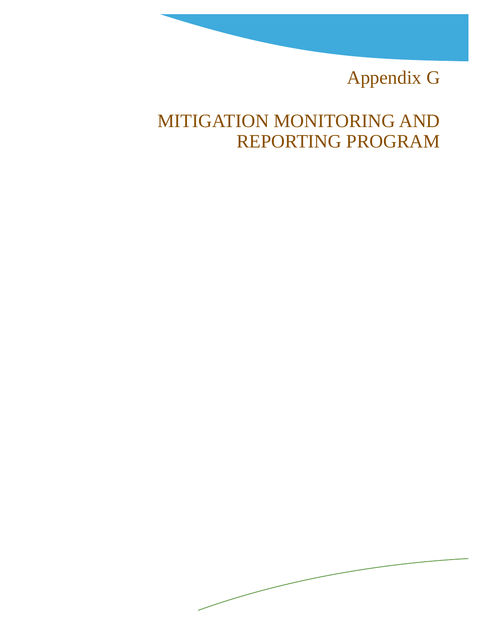## Appendix G

## MITIGATION MONITORING AND REPORTING PROGRAM

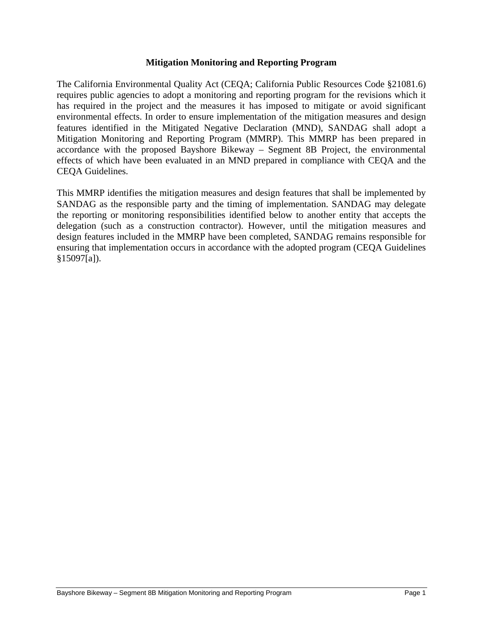## **Mitigation Monitoring and Reporting Program**

The California Environmental Quality Act (CEQA; California Public Resources Code §21081.6) requires public agencies to adopt a monitoring and reporting program for the revisions which it has required in the project and the measures it has imposed to mitigate or avoid significant environmental effects. In order to ensure implementation of the mitigation measures and design features identified in the Mitigated Negative Declaration (MND), SANDAG shall adopt a Mitigation Monitoring and Reporting Program (MMRP). This MMRP has been prepared in accordance with the proposed Bayshore Bikeway – Segment 8B Project, the environmental effects of which have been evaluated in an MND prepared in compliance with CEQA and the CEQA Guidelines.

This MMRP identifies the mitigation measures and design features that shall be implemented by SANDAG as the responsible party and the timing of implementation. SANDAG may delegate the reporting or monitoring responsibilities identified below to another entity that accepts the delegation (such as a construction contractor). However, until the mitigation measures and design features included in the MMRP have been completed, SANDAG remains responsible for ensuring that implementation occurs in accordance with the adopted program (CEQA Guidelines §15097[a]).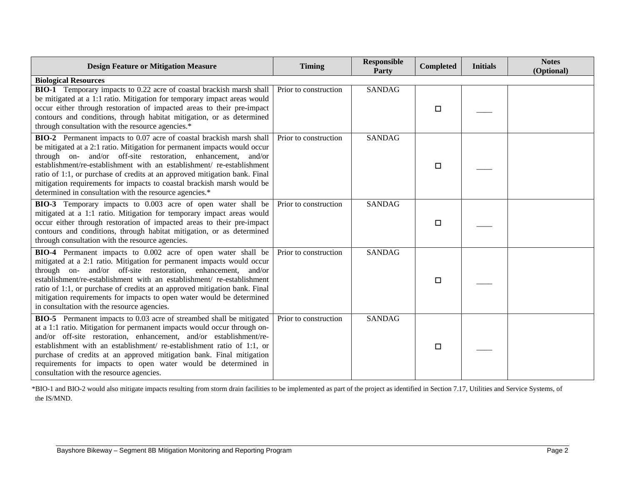| <b>Design Feature or Mitigation Measure</b>                                                                                                                                                                                                                                                                                                                                                                                                                                                                    | <b>Timing</b>         | <b>Responsible</b><br>Party | <b>Completed</b> | <b>Initials</b> | <b>Notes</b><br>(Optional) |
|----------------------------------------------------------------------------------------------------------------------------------------------------------------------------------------------------------------------------------------------------------------------------------------------------------------------------------------------------------------------------------------------------------------------------------------------------------------------------------------------------------------|-----------------------|-----------------------------|------------------|-----------------|----------------------------|
| <b>Biological Resources</b>                                                                                                                                                                                                                                                                                                                                                                                                                                                                                    |                       |                             |                  |                 |                            |
| <b>BIO-1</b> Temporary impacts to 0.22 acre of coastal brackish marsh shall<br>be mitigated at a 1:1 ratio. Mitigation for temporary impact areas would<br>occur either through restoration of impacted areas to their pre-impact<br>contours and conditions, through habitat mitigation, or as determined<br>through consultation with the resource agencies.*                                                                                                                                                | Prior to construction | <b>SANDAG</b>               | $\Box$           |                 |                            |
| BIO-2 Permanent impacts to 0.07 acre of coastal brackish marsh shall<br>be mitigated at a 2:1 ratio. Mitigation for permanent impacts would occur<br>through on- and/or off-site restoration, enhancement, and/or<br>establishment/re-establishment with an establishment/ re-establishment<br>ratio of 1:1, or purchase of credits at an approved mitigation bank. Final<br>mitigation requirements for impacts to coastal brackish marsh would be<br>determined in consultation with the resource agencies.* | Prior to construction | <b>SANDAG</b>               | $\Box$           |                 |                            |
| BIO-3 Temporary impacts to 0.003 acre of open water shall be<br>mitigated at a 1:1 ratio. Mitigation for temporary impact areas would<br>occur either through restoration of impacted areas to their pre-impact<br>contours and conditions, through habitat mitigation, or as determined<br>through consultation with the resource agencies.                                                                                                                                                                   | Prior to construction | <b>SANDAG</b>               | $\Box$           |                 |                            |
| BIO-4 Permanent impacts to 0.002 acre of open water shall be<br>mitigated at a 2:1 ratio. Mitigation for permanent impacts would occur<br>through on- and/or off-site restoration, enhancement, and/or<br>establishment/re-establishment with an establishment/ re-establishment<br>ratio of 1:1, or purchase of credits at an approved mitigation bank. Final<br>mitigation requirements for impacts to open water would be determined<br>in consultation with the resource agencies.                         | Prior to construction | <b>SANDAG</b>               | $\Box$           |                 |                            |
| <b>BIO-5</b> Permanent impacts to 0.03 acre of streambed shall be mitigated<br>at a 1:1 ratio. Mitigation for permanent impacts would occur through on-<br>and/or off-site restoration, enhancement, and/or establishment/re-<br>establishment with an establishment/ re-establishment ratio of 1:1, or<br>purchase of credits at an approved mitigation bank. Final mitigation<br>requirements for impacts to open water would be determined in<br>consultation with the resource agencies.                   | Prior to construction | <b>SANDAG</b>               | □                |                 |                            |

\*BIO-1 and BIO-2 would also mitigate impacts resulting from storm drain facilities to be implemented as part of the project as identified in Section 7.17, Utilities and Service Systems, of the IS/MND.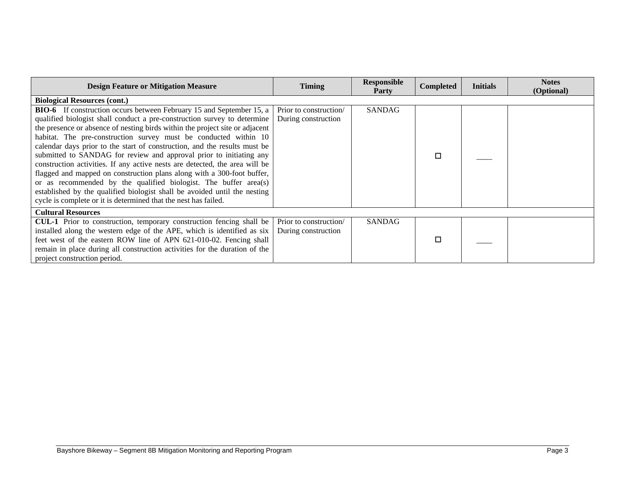| <b>Design Feature or Mitigation Measure</b>                                  | <b>Timing</b>          | <b>Responsible</b><br><b>Party</b> | <b>Completed</b> | <b>Initials</b> | <b>Notes</b><br>(Optional) |
|------------------------------------------------------------------------------|------------------------|------------------------------------|------------------|-----------------|----------------------------|
| <b>Biological Resources (cont.)</b>                                          |                        |                                    |                  |                 |                            |
| <b>BIO-6</b> If construction occurs between February 15 and September 15, a  | Prior to construction  | <b>SANDAG</b>                      |                  |                 |                            |
| qualified biologist shall conduct a pre-construction survey to determine     | During construction    |                                    |                  |                 |                            |
| the presence or absence of nesting birds within the project site or adjacent |                        |                                    |                  |                 |                            |
| habitat. The pre-construction survey must be conducted within 10             |                        |                                    |                  |                 |                            |
| calendar days prior to the start of construction, and the results must be    |                        |                                    |                  |                 |                            |
| submitted to SANDAG for review and approval prior to initiating any          |                        |                                    | □                |                 |                            |
| construction activities. If any active nests are detected, the area will be  |                        |                                    |                  |                 |                            |
| flagged and mapped on construction plans along with a 300-foot buffer,       |                        |                                    |                  |                 |                            |
| or as recommended by the qualified biologist. The buffer area(s)             |                        |                                    |                  |                 |                            |
| established by the qualified biologist shall be avoided until the nesting    |                        |                                    |                  |                 |                            |
| cycle is complete or it is determined that the nest has failed.              |                        |                                    |                  |                 |                            |
| <b>Cultural Resources</b>                                                    |                        |                                    |                  |                 |                            |
| CUL-1 Prior to construction, temporary construction fencing shall be         | Prior to construction/ | <b>SANDAG</b>                      |                  |                 |                            |
| installed along the western edge of the APE, which is identified as six      | During construction    |                                    |                  |                 |                            |
| feet west of the eastern ROW line of APN 621-010-02. Fencing shall           |                        |                                    | □                |                 |                            |
| remain in place during all construction activities for the duration of the   |                        |                                    |                  |                 |                            |
| project construction period.                                                 |                        |                                    |                  |                 |                            |